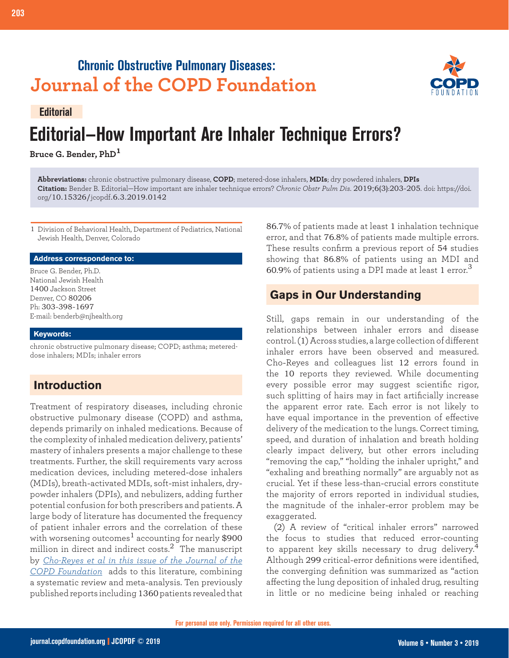## **Chronic Obstructive Pulmonary Diseases: Journal of the COPD Foundation**



# **Editorial—How Important Are Inhaler Technique Errors? Editorial**

**Bruce G. Bender, PhD<sup>1</sup>**

**Abbreviations:** chronic obstructive pulmonary disease, **COPD**; metered-dose inhalers, **MDIs**; dry powdered inhalers, **DPIs Citation:** Bender B. Editorial—How important are inhaler technique errors? *Chronic Obstr Pulm Dis*. 2019;6(3):203-205. doi: https://doi. org/10.15326/jcopdf.6.3.2019.0142

1 Division of Behavioral Health, Department of Pediatrics, National Jewish Health, Denver, Colorado

#### **Address correspondence to:**

Bruce G. Bender, Ph.D. National Jewish Health 1400 Jackson Street Denver, CO 80206 Ph: 303-398-1697 E-mail: benderb@njhealth.org

#### **Keywords:**

chronic obstructive pulmonary disease; COPD; asthma; metereddose inhalers; MDIs; inhaler errors

## **Introduction**

Treatment of respiratory diseases, including chronic obstructive pulmonary disease (COPD) and asthma, depends primarily on inhaled medications. Because of the complexity of inhaled medication delivery, patients' mastery of inhalers presents a major challenge to these treatments. Further, the skill requirements vary across medication devices, including metered-dose inhalers (MDIs), breath-activated MDIs, soft-mist inhalers, drypowder inhalers (DPIs), and nebulizers, adding further potential confusion for both prescribers and patients. A large body of literature has documented the frequency of patient inhaler errors and the correlation of these with worsening outcomes<sup>1</sup> accounting for nearly  $$900$ million in direct and indirect costs.<sup>2</sup> The manuscript by *[Cho-Reyes et al in this issue of the Journal of the](https://journal.copdfoundation.org/jcopdf/id/1241/Inhalation-Technique-Errors-with-Metered-Dose-Inhalers-Among-Patients-with-Obstructive-Lung-Diseases-A-Systematic-Review-and-Meta-Analysis-of-US-Studies)  [COPD Foundation](https://journal.copdfoundation.org/jcopdf/id/1241/Inhalation-Technique-Errors-with-Metered-Dose-Inhalers-Among-Patients-with-Obstructive-Lung-Diseases-A-Systematic-Review-and-Meta-Analysis-of-US-Studies)* adds to this literature, combining a systematic review and meta-analysis. Ten previously published reports including 1360 patients revealed that 86.7% of patients made at least 1 inhalation technique error, and that 76.8% of patients made multiple errors. These results confirm a previous report of 54 studies showing that 86.8% of patients using an MDI and 60.9% of patients using a DPI made at least 1 error. $^3$ 

## **Gaps in Our Understanding**

Still, gaps remain in our understanding of the relationships between inhaler errors and disease control. (1) Across studies, a large collection of different inhaler errors have been observed and measured. Cho-Reyes and colleagues list 12 errors found in the 10 reports they reviewed. While documenting every possible error may suggest scientific rigor, such splitting of hairs may in fact artificially increase the apparent error rate. Each error is not likely to have equal importance in the prevention of effective delivery of the medication to the lungs. Correct timing, speed, and duration of inhalation and breath holding clearly impact delivery, but other errors including "removing the cap," "holding the inhaler upright," and "exhaling and breathing normally" are arguably not as crucial. Yet if these less-than-crucial errors constitute the majority of errors reported in individual studies, the magnitude of the inhaler-error problem may be exaggerated.

(2) A review of "critical inhaler errors" narrowed the focus to studies that reduced error-counting to apparent key skills necessary to drug delivery.<sup>4</sup> Although 299 critical-error definitions were identified, the converging definition was summarized as "action affecting the lung deposition of inhaled drug, resulting in little or no medicine being inhaled or reaching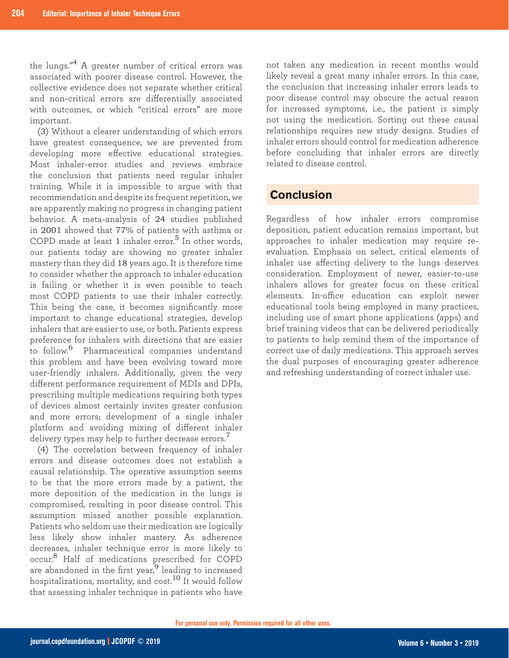the lungs."4 A greater number of critical errors was associated with poorer disease control. However, the collective evidence does not separate whether critical and non-critical errors are differentially associated with outcomes, or which "critical errors" are more important.

(3) Without a clearer understanding of which errors have greatest consequence, we are prevented from developing more effective educational strategies. Most inhaler-error studies and reviews embrace the conclusion that patients need regular inhaler training. While it is impossible to argue with that recommendation and despite its frequent repetition, we are apparently making no progress in changing patient behavior. A meta-analysis of 24 studies published in 2001 showed that 77% of patients with asthma or COPD made at least 1 inhaler error.<sup>5</sup> In other words, our patients today are showing no greater inhaler mastery than they did 18 years ago. It is therefore time to consider whether the approach to inhaler education is failing or whether it is even possible to teach most COPD patients to use their inhaler correctly. This being the case, it becomes significantly more important to change educational strategies, develop inhalers that are easier to use, or both. Patients express preference for inhalers with directions that are easier to follow.6 Pharmaceutical companies understand this problem and have been evolving toward more user-friendly inhalers. Additionally, given the very different performance requirement of MDIs and DPIs, prescribing multiple medications requiring both types of devices almost certainly invites greater confusion and more errors; development of a single inhaler platform and avoiding mixing of different inhaler delivery types may help to further decrease errors.<sup>7</sup>

(4) The correlation between frequency of inhaler errors and disease outcomes does not establish a causal relationship. The operative assumption seems to be that the more errors made by a patient, the more deposition of the medication in the lungs is compromised, resulting in poor disease control. This assumption missed another possible explanation. Patients who seldom use their medication are logically less likely show inhaler mastery. As adherence decreases, inhaler technique error is more likely to occur.8 Half of medications prescribed for COPD are abandoned in the first year, $9$  leading to increased hospitalizations, mortality, and cost.<sup>10</sup> It would follow that assessing inhaler technique in patients who have

not taken any medication in recent months would likely reveal a great many inhaler errors. In this case, the conclusion that increasing inhaler errors leads to poor disease control may obscure the actual reason for increased symptoms, i.e., the patient is simply not using the medication. Sorting out these causal relationships requires new study designs. Studies of inhaler errors should control for medication adherence before concluding that inhaler errors are directly related to disease control.

## **Conclusion**

Regardless of how inhaler errors compromise deposition, patient education remains important, but approaches to inhaler medication may require reevaluation. Emphasis on select, critical elements of inhaler use affecting delivery to the lungs deserves consideration. Employment of newer, easier-to-use inhalers allows for greater focus on these critical elements. In-office education can exploit newer educational tools being employed in many practices, including use of smart phone applications (apps) and brief training videos that can be delivered periodically to patients to help remind them of the importance of correct use of daily medications. This approach serves the dual purposes of encouraging greater adherence and refreshing understanding of correct inhaler use.